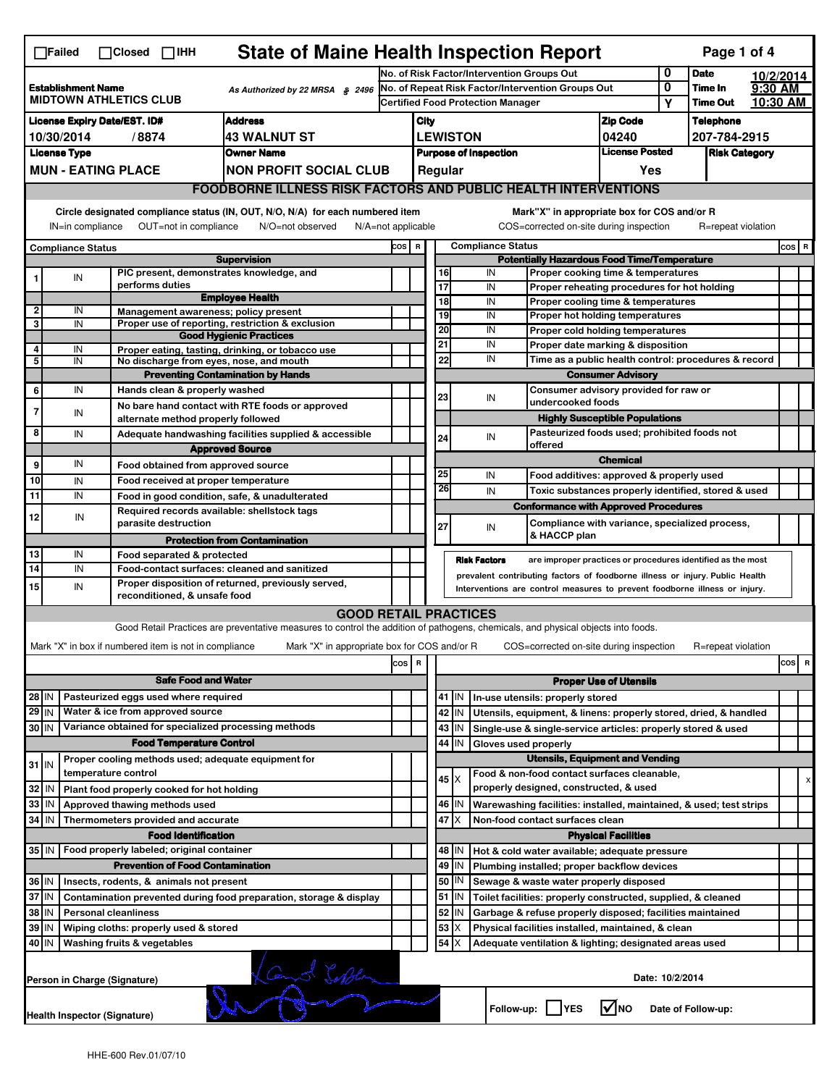| <b>State of Maine Health Inspection Report</b><br>Page 1 of 4<br>$\Box$ Failed<br>$\Box$ Closed $\Box$ IHH                                                                                                               |                                                                                               |                     |                                                       |                                                                                                                                   |                                                                  |                                            |                                                          |                                        |                                                                                                 |                                                                              |                               |   |                    |           |         |   |
|--------------------------------------------------------------------------------------------------------------------------------------------------------------------------------------------------------------------------|-----------------------------------------------------------------------------------------------|---------------------|-------------------------------------------------------|-----------------------------------------------------------------------------------------------------------------------------------|------------------------------------------------------------------|--------------------------------------------|----------------------------------------------------------|----------------------------------------|-------------------------------------------------------------------------------------------------|------------------------------------------------------------------------------|-------------------------------|---|--------------------|-----------|---------|---|
|                                                                                                                                                                                                                          |                                                                                               |                     |                                                       |                                                                                                                                   |                                                                  | No. of Risk Factor/Intervention Groups Out |                                                          |                                        |                                                                                                 |                                                                              |                               | 0 | <b>Date</b>        | 10/2/2014 |         |   |
|                                                                                                                                                                                                                          | <b>Establishment Name</b><br>As Authorized by 22 MRSA § 2496<br><b>MIDTOWN ATHLETICS CLUB</b> |                     |                                                       |                                                                                                                                   |                                                                  |                                            |                                                          |                                        |                                                                                                 | No. of Repeat Risk Factor/Intervention Groups Out                            |                               | 0 | Time In            | 9:30 AM   |         |   |
|                                                                                                                                                                                                                          |                                                                                               |                     |                                                       |                                                                                                                                   |                                                                  |                                            |                                                          |                                        | <b>Certified Food Protection Manager</b>                                                        |                                                                              |                               | Υ | <b>Time Out</b>    | 10:30 AM  |         |   |
| <b>License Expiry Date/EST. ID#</b><br><b>Address</b>                                                                                                                                                                    |                                                                                               |                     |                                                       |                                                                                                                                   |                                                                  | City                                       |                                                          |                                        |                                                                                                 |                                                                              | <b>Zip Code</b>               |   | Telephone          |           |         |   |
| <b>43 WALNUT ST</b><br>10/30/2014<br>/8874                                                                                                                                                                               |                                                                                               |                     |                                                       |                                                                                                                                   |                                                                  | <b>LEWISTON</b><br>04240<br>207-784-2915   |                                                          |                                        |                                                                                                 |                                                                              |                               |   |                    |           |         |   |
|                                                                                                                                                                                                                          | <b>License Type</b><br><b>Owner Name</b><br><b>MUN - EATING PLACE</b>                         |                     |                                                       |                                                                                                                                   | <b>License Posted</b><br><b>Purpose of Inspection</b><br>Regular |                                            |                                                          |                                        |                                                                                                 |                                                                              | <b>Risk Category</b>          |   |                    |           |         |   |
|                                                                                                                                                                                                                          |                                                                                               |                     |                                                       | <b>NON PROFIT SOCIAL CLUB</b>                                                                                                     |                                                                  |                                            |                                                          |                                        |                                                                                                 |                                                                              | Yes                           |   |                    |           |         |   |
|                                                                                                                                                                                                                          |                                                                                               |                     |                                                       | <b>FOODBORNE ILLNESS RISK FACTORS AND PUBLIC HEALTH INTERVENTIONS</b>                                                             |                                                                  |                                            |                                                          |                                        |                                                                                                 |                                                                              |                               |   |                    |           |         |   |
| Circle designated compliance status (IN, OUT, N/O, N/A) for each numbered item<br>Mark"X" in appropriate box for COS and/or R<br>COS=corrected on-site during inspection<br>$N/A = not$ applicable<br>R=repeat violation |                                                                                               |                     |                                                       |                                                                                                                                   |                                                                  |                                            |                                                          |                                        |                                                                                                 |                                                                              |                               |   |                    |           |         |   |
|                                                                                                                                                                                                                          | OUT=not in compliance<br>N/O=not observed<br>IN=in compliance                                 |                     |                                                       |                                                                                                                                   |                                                                  |                                            |                                                          |                                        | <b>Compliance Status</b>                                                                        |                                                                              |                               |   |                    |           | $cos$ R |   |
|                                                                                                                                                                                                                          | Compliance Status                                                                             |                     |                                                       | <b>Supervision</b>                                                                                                                | COS R                                                            |                                            |                                                          |                                        |                                                                                                 | <b>Potentially Hazardous Food Time/Temperature</b>                           |                               |   |                    |           |         |   |
| 1                                                                                                                                                                                                                        | IN                                                                                            |                     |                                                       | PIC present, demonstrates knowledge, and                                                                                          |                                                                  |                                            | 16                                                       |                                        | IN                                                                                              | Proper cooking time & temperatures                                           |                               |   |                    |           |         |   |
|                                                                                                                                                                                                                          |                                                                                               |                     | performs duties                                       |                                                                                                                                   |                                                                  |                                            | $\overline{17}$                                          |                                        | IN                                                                                              | Proper reheating procedures for hot holding                                  |                               |   |                    |           |         |   |
| 2                                                                                                                                                                                                                        | IN                                                                                            |                     |                                                       | <b>Employee Health</b><br>Management awareness; policy present                                                                    |                                                                  |                                            | $\overline{18}$                                          |                                        | IN                                                                                              | Proper cooling time & temperatures                                           |                               |   |                    |           |         |   |
| 3                                                                                                                                                                                                                        | IN                                                                                            |                     |                                                       | Proper use of reporting, restriction & exclusion                                                                                  |                                                                  |                                            | 19                                                       |                                        | IN                                                                                              | Proper hot holding temperatures                                              |                               |   |                    |           |         |   |
|                                                                                                                                                                                                                          |                                                                                               |                     |                                                       | <b>Good Hygienic Practices</b>                                                                                                    |                                                                  |                                            | 20<br>21                                                 |                                        | IN<br>IN                                                                                        | Proper cold holding temperatures                                             |                               |   |                    |           |         |   |
| 4<br>5                                                                                                                                                                                                                   | IN<br>IN                                                                                      |                     |                                                       | Proper eating, tasting, drinking, or tobacco use                                                                                  |                                                                  |                                            | 22                                                       |                                        | Proper date marking & disposition<br>IN<br>Time as a public health control: procedures & record |                                                                              |                               |   |                    |           |         |   |
|                                                                                                                                                                                                                          |                                                                                               |                     |                                                       | No discharge from eyes, nose, and mouth<br><b>Preventing Contamination by Hands</b>                                               |                                                                  |                                            |                                                          | <b>Consumer Advisory</b>               |                                                                                                 |                                                                              |                               |   |                    |           |         |   |
| 6                                                                                                                                                                                                                        | IN                                                                                            |                     | Hands clean & properly washed                         |                                                                                                                                   |                                                                  |                                            |                                                          |                                        |                                                                                                 | Consumer advisory provided for raw or                                        |                               |   |                    |           |         |   |
|                                                                                                                                                                                                                          |                                                                                               |                     |                                                       | No bare hand contact with RTE foods or approved                                                                                   |                                                                  |                                            | 23                                                       |                                        | IN                                                                                              | undercooked foods                                                            |                               |   |                    |           |         |   |
| 7                                                                                                                                                                                                                        | IN                                                                                            |                     | alternate method properly followed                    |                                                                                                                                   |                                                                  |                                            |                                                          |                                        |                                                                                                 | <b>Highly Susceptible Populations</b>                                        |                               |   |                    |           |         |   |
| 8                                                                                                                                                                                                                        | IN                                                                                            |                     |                                                       | Adequate handwashing facilities supplied & accessible                                                                             |                                                                  |                                            | 24                                                       |                                        | IN                                                                                              | Pasteurized foods used; prohibited foods not                                 |                               |   |                    |           |         |   |
|                                                                                                                                                                                                                          |                                                                                               |                     |                                                       | <b>Approved Source</b>                                                                                                            |                                                                  |                                            |                                                          |                                        |                                                                                                 | offered                                                                      |                               |   |                    |           |         |   |
| 9                                                                                                                                                                                                                        | IN                                                                                            |                     | Food obtained from approved source                    |                                                                                                                                   |                                                                  |                                            |                                                          |                                        |                                                                                                 |                                                                              | <b>Chemical</b>               |   |                    |           |         |   |
| 10                                                                                                                                                                                                                       | IN                                                                                            |                     | Food received at proper temperature                   |                                                                                                                                   |                                                                  |                                            | 25<br>26                                                 |                                        | IN                                                                                              | Food additives: approved & properly used                                     |                               |   |                    |           |         |   |
| 11                                                                                                                                                                                                                       | IN                                                                                            |                     |                                                       | Food in good condition, safe, & unadulterated                                                                                     |                                                                  |                                            |                                                          |                                        | IN                                                                                              | Toxic substances properly identified, stored & used                          |                               |   |                    |           |         |   |
| 12                                                                                                                                                                                                                       | IN                                                                                            |                     |                                                       | Required records available: shellstock tags                                                                                       |                                                                  |                                            |                                                          |                                        |                                                                                                 | <b>Conformance with Approved Procedures</b>                                  |                               |   |                    |           |         |   |
|                                                                                                                                                                                                                          |                                                                                               |                     | parasite destruction                                  |                                                                                                                                   |                                                                  |                                            | 27                                                       |                                        | IN                                                                                              | Compliance with variance, specialized process,<br>& HACCP plan               |                               |   |                    |           |         |   |
|                                                                                                                                                                                                                          |                                                                                               |                     |                                                       | <b>Protection from Contamination</b>                                                                                              |                                                                  |                                            |                                                          |                                        |                                                                                                 |                                                                              |                               |   |                    |           |         |   |
| 13<br>14                                                                                                                                                                                                                 | IN<br>IN                                                                                      |                     | Food separated & protected                            | Food-contact surfaces: cleaned and sanitized                                                                                      |                                                                  |                                            |                                                          |                                        | <b>Risk Factors</b>                                                                             | are improper practices or procedures identified as the most                  |                               |   |                    |           |         |   |
|                                                                                                                                                                                                                          |                                                                                               |                     |                                                       | Proper disposition of returned, previously served,                                                                                |                                                                  |                                            |                                                          |                                        |                                                                                                 | prevalent contributing factors of foodborne illness or injury. Public Health |                               |   |                    |           |         |   |
| 15                                                                                                                                                                                                                       | IN                                                                                            |                     | reconditioned, & unsafe food                          |                                                                                                                                   |                                                                  |                                            |                                                          |                                        |                                                                                                 | Interventions are control measures to prevent foodborne illness or injury.   |                               |   |                    |           |         |   |
|                                                                                                                                                                                                                          |                                                                                               |                     |                                                       | <b>GOOD RETAIL PRACTICES</b>                                                                                                      |                                                                  |                                            |                                                          |                                        |                                                                                                 |                                                                              |                               |   |                    |           |         |   |
|                                                                                                                                                                                                                          |                                                                                               |                     |                                                       | Good Retail Practices are preventative measures to control the addition of pathogens, chemicals, and physical objects into foods. |                                                                  |                                            |                                                          |                                        |                                                                                                 |                                                                              |                               |   |                    |           |         |   |
|                                                                                                                                                                                                                          |                                                                                               |                     | Mark "X" in box if numbered item is not in compliance | Mark "X" in appropriate box for COS and/or R                                                                                      |                                                                  |                                            |                                                          |                                        |                                                                                                 | COS=corrected on-site during inspection                                      |                               |   | R=repeat violation |           |         |   |
|                                                                                                                                                                                                                          |                                                                                               |                     |                                                       |                                                                                                                                   | cos                                                              | R                                          |                                                          |                                        |                                                                                                 |                                                                              |                               |   |                    |           | cos     | R |
|                                                                                                                                                                                                                          |                                                                                               |                     | <b>Safe Food and Water</b>                            |                                                                                                                                   |                                                                  |                                            |                                                          |                                        |                                                                                                 |                                                                              | <b>Proper Use of Utensils</b> |   |                    |           |         |   |
|                                                                                                                                                                                                                          | Pasteurized eggs used where required<br>28 IN                                                 |                     |                                                       |                                                                                                                                   |                                                                  |                                            |                                                          | 41   IN                                |                                                                                                 | In-use utensils: properly stored                                             |                               |   |                    |           |         |   |
| 29 IN                                                                                                                                                                                                                    |                                                                                               |                     | Water & ice from approved source                      |                                                                                                                                   |                                                                  |                                            |                                                          | 42 IN                                  |                                                                                                 | Utensils, equipment, & linens: properly stored, dried, & handled             |                               |   |                    |           |         |   |
| 30 IN                                                                                                                                                                                                                    |                                                                                               |                     |                                                       | Variance obtained for specialized processing methods                                                                              |                                                                  |                                            |                                                          | 43   IN                                |                                                                                                 | Single-use & single-service articles: properly stored & used                 |                               |   |                    |           |         |   |
|                                                                                                                                                                                                                          |                                                                                               |                     | <b>Food Temperature Control</b>                       |                                                                                                                                   |                                                                  |                                            |                                                          | 44 I IN                                | Gloves used properly                                                                            |                                                                              |                               |   |                    |           |         |   |
| $31$ IN                                                                                                                                                                                                                  |                                                                                               |                     |                                                       | Proper cooling methods used; adequate equipment for                                                                               |                                                                  |                                            |                                                          | <b>Utensils, Equipment and Vending</b> |                                                                                                 |                                                                              |                               |   |                    |           |         |   |
|                                                                                                                                                                                                                          |                                                                                               | temperature control |                                                       |                                                                                                                                   |                                                                  |                                            | $45 \times$                                              |                                        |                                                                                                 | Food & non-food contact surfaces cleanable,                                  |                               |   |                    |           |         | x |
| 32 IN                                                                                                                                                                                                                    |                                                                                               |                     | Plant food properly cooked for hot holding            |                                                                                                                                   |                                                                  |                                            |                                                          |                                        |                                                                                                 | properly designed, constructed, & used                                       |                               |   |                    |           |         |   |
| 33 IN                                                                                                                                                                                                                    |                                                                                               |                     | Approved thawing methods used                         |                                                                                                                                   |                                                                  |                                            |                                                          | 46   IN                                |                                                                                                 | Warewashing facilities: installed, maintained, & used; test strips           |                               |   |                    |           |         |   |
| 34   IN                                                                                                                                                                                                                  |                                                                                               |                     | Thermometers provided and accurate                    |                                                                                                                                   |                                                                  |                                            | 47                                                       | X                                      |                                                                                                 | Non-food contact surfaces clean                                              |                               |   |                    |           |         |   |
|                                                                                                                                                                                                                          | <b>Food Identification</b>                                                                    |                     |                                                       |                                                                                                                                   |                                                                  |                                            | <b>Physical Facilities</b>                               |                                        |                                                                                                 |                                                                              |                               |   |                    |           |         |   |
| 35 IN<br>Food properly labeled; original container                                                                                                                                                                       |                                                                                               |                     |                                                       |                                                                                                                                   |                                                                  |                                            | 48   IN<br>Hot & cold water available; adequate pressure |                                        |                                                                                                 |                                                                              |                               |   |                    |           |         |   |
|                                                                                                                                                                                                                          |                                                                                               |                     | <b>Prevention of Food Contamination</b>               |                                                                                                                                   |                                                                  |                                            |                                                          | 49 IN                                  |                                                                                                 | Plumbing installed; proper backflow devices                                  |                               |   |                    |           |         |   |
| 36 IN<br>Insects, rodents, & animals not present                                                                                                                                                                         |                                                                                               |                     |                                                       |                                                                                                                                   |                                                                  |                                            |                                                          | 50   IN                                |                                                                                                 | Sewage & waste water properly disposed                                       |                               |   |                    |           |         |   |
| 37 IN<br>Contamination prevented during food preparation, storage & display                                                                                                                                              |                                                                                               |                     |                                                       |                                                                                                                                   |                                                                  |                                            |                                                          | 51   IN                                |                                                                                                 | Toilet facilities: properly constructed, supplied, & cleaned                 |                               |   |                    |           |         |   |
| 38 IN<br><b>Personal cleanliness</b>                                                                                                                                                                                     |                                                                                               |                     |                                                       |                                                                                                                                   |                                                                  |                                            | 52                                                       | IN                                     |                                                                                                 | Garbage & refuse properly disposed; facilities maintained                    |                               |   |                    |           |         |   |
| 39 IN<br>Wiping cloths: properly used & stored                                                                                                                                                                           |                                                                                               |                     |                                                       |                                                                                                                                   |                                                                  |                                            | 53                                                       | X                                      |                                                                                                 | Physical facilities installed, maintained, & clean                           |                               |   |                    |           |         |   |
| $54$ $\times$<br>40 IN<br>Washing fruits & vegetables<br>Adequate ventilation & lighting; designated areas used                                                                                                          |                                                                                               |                     |                                                       |                                                                                                                                   |                                                                  |                                            |                                                          |                                        |                                                                                                 |                                                                              |                               |   |                    |           |         |   |
|                                                                                                                                                                                                                          | Land Sobben<br>Date: 10/2/2014<br>Person in Charge (Signature)                                |                     |                                                       |                                                                                                                                   |                                                                  |                                            |                                                          |                                        |                                                                                                 |                                                                              |                               |   |                    |           |         |   |
|                                                                                                                                                                                                                          |                                                                                               |                     |                                                       |                                                                                                                                   |                                                                  |                                            |                                                          |                                        |                                                                                                 |                                                                              |                               |   |                    |           |         |   |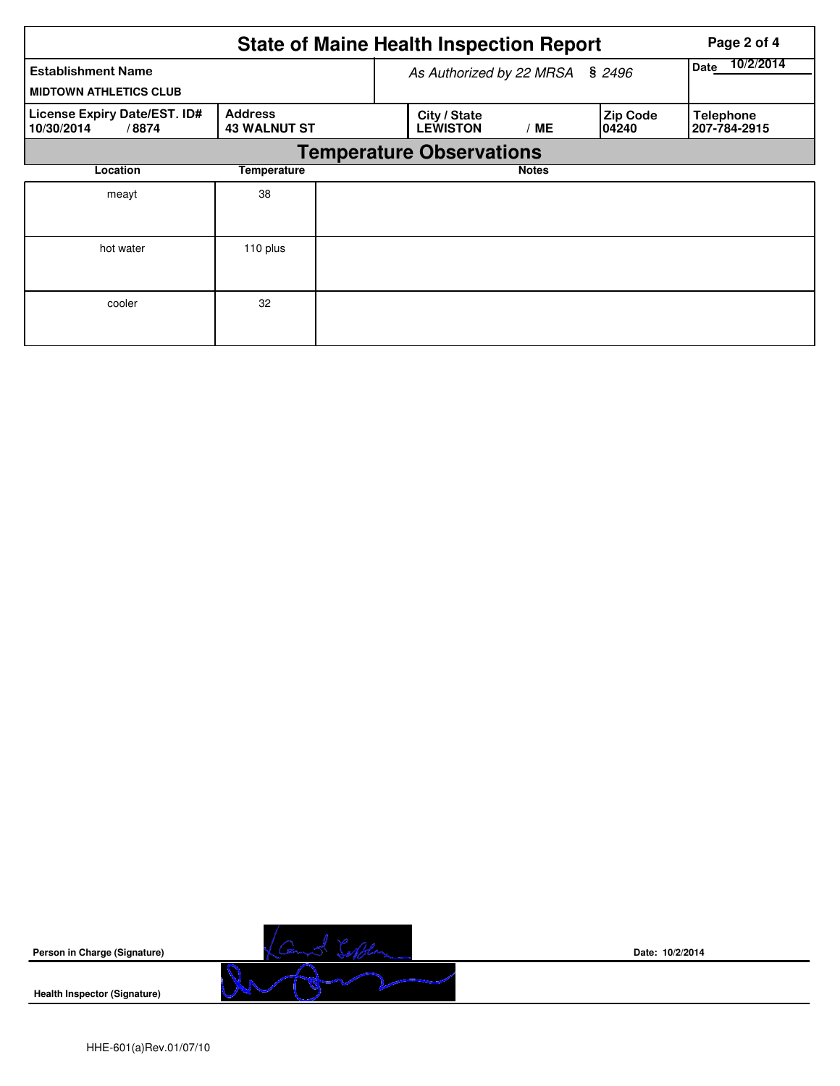| <b>State of Maine Health Inspection Report</b><br>Page 2 of 4 |                                       |  |                                 |                   |                           |                                  |  |  |  |
|---------------------------------------------------------------|---------------------------------------|--|---------------------------------|-------------------|---------------------------|----------------------------------|--|--|--|
| <b>Establishment Name</b><br><b>MIDTOWN ATHLETICS CLUB</b>    |                                       |  | As Authorized by 22 MRSA § 2496 | 10/2/2014<br>Date |                           |                                  |  |  |  |
| License Expiry Date/EST. ID#<br>10/30/2014<br>/8874           | <b>Address</b><br><b>43 WALNUT ST</b> |  | City / State<br><b>LEWISTON</b> | /ME               | <b>Zip Code</b><br>104240 | <b>Telephone</b><br>207-784-2915 |  |  |  |
| <b>Temperature Observations</b>                               |                                       |  |                                 |                   |                           |                                  |  |  |  |
| Location                                                      | <b>Temperature</b>                    |  |                                 | <b>Notes</b>      |                           |                                  |  |  |  |
| meayt                                                         | 38                                    |  |                                 |                   |                           |                                  |  |  |  |
| hot water                                                     | 110 plus                              |  |                                 |                   |                           |                                  |  |  |  |
| cooler                                                        | 32                                    |  |                                 |                   |                           |                                  |  |  |  |



**Date: 10/2/2014**

**Health Inspector (Signature)**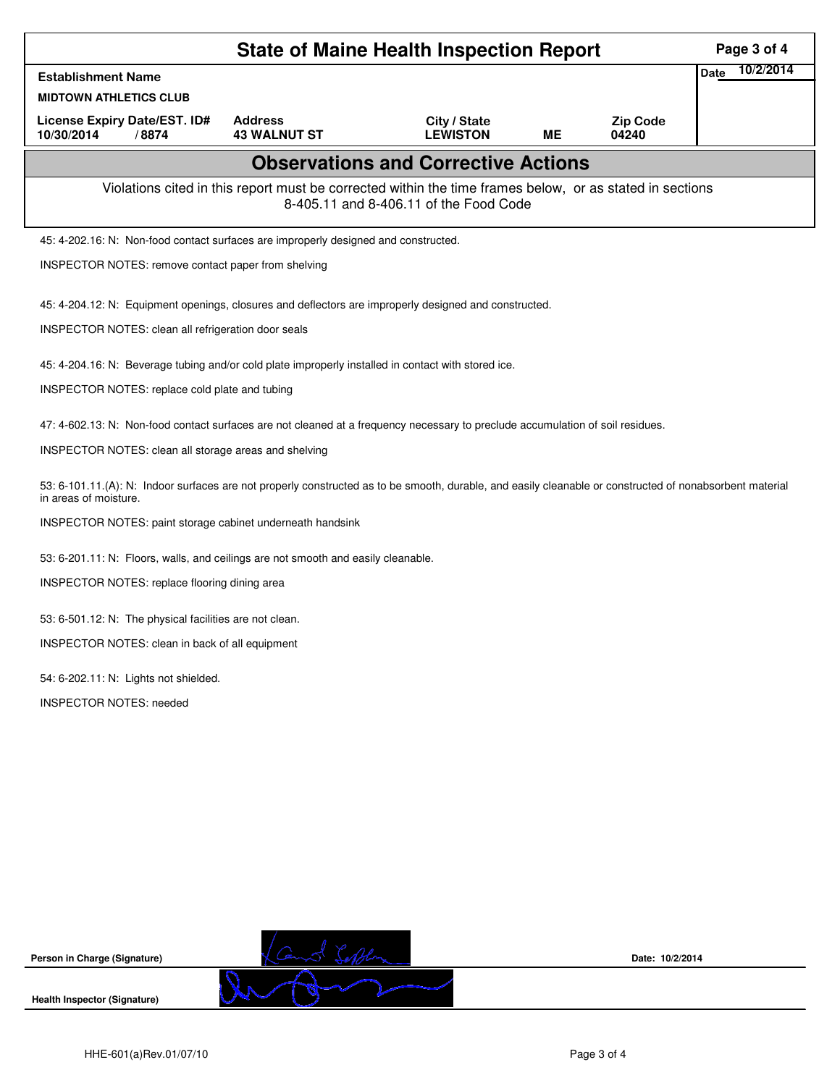| <b>State of Maine Health Inspection Report</b>                                                                                                                                    |                                                                                                          |                                            |           |                          |                   |  |  |
|-----------------------------------------------------------------------------------------------------------------------------------------------------------------------------------|----------------------------------------------------------------------------------------------------------|--------------------------------------------|-----------|--------------------------|-------------------|--|--|
| <b>Establishment Name</b>                                                                                                                                                         |                                                                                                          |                                            |           |                          | 10/2/2014<br>Date |  |  |
| <b>MIDTOWN ATHLETICS CLUB</b>                                                                                                                                                     |                                                                                                          |                                            |           |                          |                   |  |  |
| License Expiry Date/EST. ID#<br>10/30/2014<br>/8874                                                                                                                               | <b>Address</b><br><b>43 WALNUT ST</b>                                                                    | City / State<br><b>LEWISTON</b>            | <b>ME</b> | <b>Zip Code</b><br>04240 |                   |  |  |
|                                                                                                                                                                                   |                                                                                                          | <b>Observations and Corrective Actions</b> |           |                          |                   |  |  |
|                                                                                                                                                                                   | Violations cited in this report must be corrected within the time frames below, or as stated in sections | 8-405.11 and 8-406.11 of the Food Code     |           |                          |                   |  |  |
| 45: 4-202.16: N: Non-food contact surfaces are improperly designed and constructed.                                                                                               |                                                                                                          |                                            |           |                          |                   |  |  |
| INSPECTOR NOTES: remove contact paper from shelving                                                                                                                               |                                                                                                          |                                            |           |                          |                   |  |  |
| 45: 4-204.12: N: Equipment openings, closures and deflectors are improperly designed and constructed.                                                                             |                                                                                                          |                                            |           |                          |                   |  |  |
| INSPECTOR NOTES: clean all refrigeration door seals                                                                                                                               |                                                                                                          |                                            |           |                          |                   |  |  |
| 45: 4-204.16: N: Beverage tubing and/or cold plate improperly installed in contact with stored ice.                                                                               |                                                                                                          |                                            |           |                          |                   |  |  |
| INSPECTOR NOTES: replace cold plate and tubing                                                                                                                                    |                                                                                                          |                                            |           |                          |                   |  |  |
|                                                                                                                                                                                   |                                                                                                          |                                            |           |                          |                   |  |  |
| 47: 4-602.13: N: Non-food contact surfaces are not cleaned at a frequency necessary to preclude accumulation of soil residues.                                                    |                                                                                                          |                                            |           |                          |                   |  |  |
| INSPECTOR NOTES: clean all storage areas and shelving                                                                                                                             |                                                                                                          |                                            |           |                          |                   |  |  |
| 53: 6-101.11.(A): N: Indoor surfaces are not properly constructed as to be smooth, durable, and easily cleanable or constructed of nonabsorbent material<br>in areas of moisture. |                                                                                                          |                                            |           |                          |                   |  |  |
| INSPECTOR NOTES: paint storage cabinet underneath handsink                                                                                                                        |                                                                                                          |                                            |           |                          |                   |  |  |
| 53: 6-201.11: N: Floors, walls, and ceilings are not smooth and easily cleanable.                                                                                                 |                                                                                                          |                                            |           |                          |                   |  |  |
| INSPECTOR NOTES: replace flooring dining area                                                                                                                                     |                                                                                                          |                                            |           |                          |                   |  |  |
| 53: 6-501.12: N: The physical facilities are not clean.                                                                                                                           |                                                                                                          |                                            |           |                          |                   |  |  |
| INSPECTOR NOTES: clean in back of all equipment                                                                                                                                   |                                                                                                          |                                            |           |                          |                   |  |  |
| 54: 6-202.11: N: Lights not shielded.                                                                                                                                             |                                                                                                          |                                            |           |                          |                   |  |  |
| <b>INSPECTOR NOTES: needed</b>                                                                                                                                                    |                                                                                                          |                                            |           |                          |                   |  |  |
|                                                                                                                                                                                   |                                                                                                          |                                            |           |                          |                   |  |  |
|                                                                                                                                                                                   |                                                                                                          |                                            |           |                          |                   |  |  |
|                                                                                                                                                                                   |                                                                                                          |                                            |           |                          |                   |  |  |
|                                                                                                                                                                                   |                                                                                                          |                                            |           |                          |                   |  |  |



**Date: 10/2/2014**